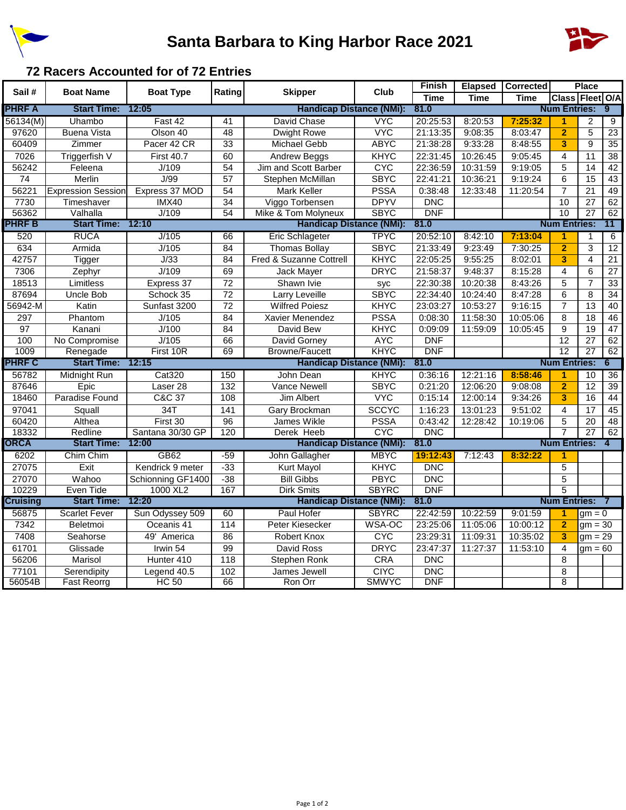

## **Santa Barbara to King Harbor Race 2021**



## **72 Racers Accounted for of 72 Entries**

| Sail#         | <b>Boat Name</b>          | <b>Boat Type</b>    | Rating                          | <b>Skipper</b>                  | Club         | <b>Finish</b> | <b>Elapsed</b> | Corrected           |                         | <b>Place</b>    |                 |
|---------------|---------------------------|---------------------|---------------------------------|---------------------------------|--------------|---------------|----------------|---------------------|-------------------------|-----------------|-----------------|
|               |                           |                     |                                 |                                 |              | <b>Time</b>   | <b>Time</b>    | <b>Time</b>         | Class Fleet O/A         |                 |                 |
| <b>PHRF A</b> | <b>Start Time:</b>        | 12:05               |                                 | <b>Handicap Distance (NMi):</b> |              | 81.0          |                |                     | <b>Num Entries:</b>     |                 | 9               |
| 56134(M)      | Uhambo                    | Fast 42             | 41                              | David Chase                     | <b>VYC</b>   | 20:25:53      | 8:20:53        | 7:25:32             | $\blacktriangleleft$    | 2               | 9               |
| 97620         | <b>Buena Vista</b>        | Olson 40            | $\overline{48}$                 | <b>Dwight Rowe</b>              | <b>VYC</b>   | 21:13:35      | 9:08:35        | 8:03:47             | $\overline{2}$          | $\overline{5}$  | $\overline{23}$ |
| 60409         | Zimmer                    | Pacer 42 CR         | 33                              | <b>Michael Gebb</b>             | <b>ABYC</b>  | 21:38:28      | 9:33:28        | 8:48:55             | 3                       | $\overline{9}$  | 35              |
| 7026          | <b>Triggerfish V</b>      | First 40.7          | 60                              | Andrew Beggs                    | KHYC         | 22:31:45      | 10:26:45       | 9:05:45             | $\overline{\mathbf{4}}$ | 11              | 38              |
| 56242         | Feleena                   | J/109               | $\overline{54}$                 | Jim and Scott Barber            | <b>CYC</b>   | 22:36:59      | 10:31:59       | 9:19:05             | 5                       | 14              | 42              |
| 74            | Merlin                    | J/99                | 57                              | Stephen McMillan                | <b>SBYC</b>  | 22:41:21      | 10:36:21       | 9:19:24             | 6                       | 15              | 43              |
| 56221         | <b>Expression Session</b> | Express 37 MOD      | 54                              | Mark Keller                     | <b>PSSA</b>  | 0:38:48       | 12:33:48       | 11:20:54            | $\overline{7}$          | 21              | 49              |
| 7730          | Timeshaver                | <b>IMX40</b>        | 34                              | Viggo Torbensen                 | <b>DPYV</b>  | <b>DNC</b>    |                |                     | 10                      | 27              | 62              |
| 56362         | Valhalla                  | J/109               | $\overline{54}$                 | Mike & Tom Molyneux             | <b>SBYC</b>  | <b>DNF</b>    |                |                     | 10                      | $\overline{27}$ | 62              |
| PHRF B        | <b>Start Time:</b>        | 12:10               |                                 | <b>Handicap Distance (NMi):</b> |              | 81.0          |                | <b>Num Entries:</b> |                         |                 | 11              |
| 520           | <b>RUCA</b>               | J/105               | 66                              | <b>Eric Schlageter</b>          | <b>TPYC</b>  | 20:52:10      | 8:42:10        | 7:13:04             | 1                       | 1               | 6               |
| 634           | Armida                    | J/105               | 84                              | <b>Thomas Bollay</b>            | <b>SBYC</b>  | 21:33:49      | 9:23:49        | 7:30:25             | $\overline{2}$          | $\overline{3}$  | $\overline{12}$ |
| 42757         | Tigger                    | J/33                | 84                              | Fred & Suzanne Cottrell         | <b>KHYC</b>  | 22:05:25      | 9:55:25        | 8:02:01             | 3                       | 4               | $\overline{21}$ |
| 7306          | Zephyr                    | J/109               | 69                              | Jack Mayer                      | <b>DRYC</b>  | 21:58:37      | 9:48:37        | 8:15:28             | $\overline{4}$          | $\overline{6}$  | $\overline{27}$ |
| 18513         | Limitless                 | Express 37          | 72                              | Shawn Ivie                      | syc          | 22:30:38      | 10:20:38       | 8:43:26             | 5                       | $\overline{7}$  | 33              |
| 87694         | Uncle Bob                 | Schock 35           | 72                              | Larry Leveille                  | <b>SBYC</b>  | 22:34:40      | 10:24:40       | 8:47:28             | 6                       | 8               | $\overline{34}$ |
| 56942-M       | Katin                     | Sunfast 3200        | 72                              | <b>Wilfred Poiesz</b>           | <b>KHYC</b>  | 23:03:27      | 10:53:27       | 9:16:15             | $\overline{7}$          | 13              | 40              |
| 297           | Phantom                   | J/105               | 84                              | Xavier Menendez                 | <b>PSSA</b>  | 0:08:30       | 11:58:30       | 10:05:06            | 8                       | $\overline{18}$ | 46              |
| 97            | Kanani                    | J/100               | $\overline{84}$                 | David Bew                       | <b>KHYC</b>  | 0:09:09       | 11:59:09       | 10:05:45            | $\overline{9}$          | 19              | $\overline{47}$ |
| 100           | No Compromise             | J/105               | 66                              | David Gorney                    | <b>AYC</b>   | <b>DNF</b>    |                |                     | 12                      | $\overline{27}$ | 62              |
| 1009          | Renegade                  | First 10R           | 69                              | <b>Browne/Faucett</b>           | <b>KHYC</b>  | <b>DNF</b>    |                |                     | $\overline{12}$         | 27              | 62              |
| <b>PHRF C</b> | <b>Start Time:</b>        | 12:15               | <b>Handicap Distance (NMi):</b> |                                 | 81.0         |               |                |                     | <b>Num Entries:</b>     |                 | 6               |
| 56782         | Midnight Run              | <b>Cat320</b>       | 150                             | John Dean                       | <b>KHYC</b>  | 0:36:16       | 12:21:16       | 8:58:46             | 1                       | 10              | 36              |
| 87646         | Epic                      | Laser <sub>28</sub> | 132                             | Vance Newell                    | <b>SBYC</b>  | 0:21:20       | 12:06:20       | 9:08:08             | $\overline{2}$          | $\overline{12}$ | $\overline{39}$ |
| 18460         | <b>Paradise Found</b>     | <b>C&amp;C 37</b>   | 108                             | <b>Jim Albert</b>               | <b>VYC</b>   | 0:15:14       | 12:00:14       | 9:34:26             | 3                       | 16              | 44              |
| 97041         | Squall                    | 34T                 | 141                             | Gary Brockman                   | <b>SCCYC</b> | 1:16:23       | 13:01:23       | 9:51:02             | 4                       | 17              | 45              |
| 60420         | Althea                    | First 30            | 96                              | <b>James Wikle</b>              | <b>PSSA</b>  | 0:43:42       | 12:28:42       | 10:19:06            | 5                       | $\overline{20}$ | 48              |
| 18332         | Redline                   | Santana 30/30 GP    | 120                             | Derek Heeb                      | <b>CYC</b>   | <b>DNC</b>    |                |                     | $\overline{7}$          | $\overline{27}$ | 62              |
| ORCA          | <b>Start Time:</b>        | 12:00               |                                 | <b>Handicap Distance (NMi):</b> |              | 81.0          |                | <b>Num Entries:</b> |                         |                 |                 |
| 6202          | Chim Chim                 | <b>GB62</b>         | $-59$                           | John Gallagher                  | <b>MBYC</b>  | 19:12:43      | 7:12:43        | 8:32:22             | 1                       |                 |                 |
| 27075         | Exit                      | Kendrick 9 meter    | $-33$                           | Kurt Mayol                      | <b>KHYC</b>  | <b>DNC</b>    |                |                     | 5                       |                 |                 |
| 27070         | Wahoo                     | Schionning GF1400   | $-38$                           | <b>Bill Gibbs</b>               | <b>PBYC</b>  | <b>DNC</b>    |                |                     | 5                       |                 |                 |
| 10229         | Even Tide                 | 1000 XL2            | 167                             | <b>Dirk Smits</b>               | <b>SBYRC</b> | <b>DNF</b>    |                |                     | $\overline{5}$          |                 |                 |
| Cruising      | <b>Start Time:</b>        | 12:20               |                                 | <b>Handicap Distance (NMi):</b> |              | 81.0          |                |                     | <b>Num Entries:</b>     |                 | -7              |
| 56875         | <b>Scarlet Fever</b>      | Sun Odyssey 509     | 60                              | Paul Hofer                      | <b>SBYRC</b> | 22:42:59      | 10:22:59       | 9:01:59             | $\blacktriangleleft$    | $gm = 0$        |                 |
| 7342          | Beletmoi                  | Oceanis 41          | 114                             | Peter Kiesecker                 | WSA-OC       | 23:25:06      | 11:05:06       | 10:00:12            | $\overline{2}$          | $gm = 30$       |                 |
| 7408          | Seahorse                  | 49' America         | 86                              | <b>Robert Knox</b>              | <b>CYC</b>   | 23:29:31      | 11:09:31       | 10:35:02            | 3                       | $gm = 29$       |                 |
| 61701         | Glissade                  | Irwin 54            | 99                              | David Ross                      | <b>DRYC</b>  | 23:47:37      | 11:27:37       | 11:53:10            | 4                       | $gm = 60$       |                 |
| 56206         | Marisol                   | Hunter 410          | $\overline{118}$                | Stephen Ronk                    | <b>CRA</b>   | <b>DNC</b>    |                |                     | 8                       |                 |                 |
| 77101         | Serendipity               | Legend 40.5         | 102                             | James Jewell                    | <b>CIYC</b>  | <b>DNC</b>    |                |                     | 8                       |                 |                 |
| 56054B        | <b>Fast Reorrg</b>        | $HC$ 50             | 66                              | Ron Orr                         | <b>SMWYC</b> | <b>DNF</b>    |                |                     | 8                       |                 |                 |